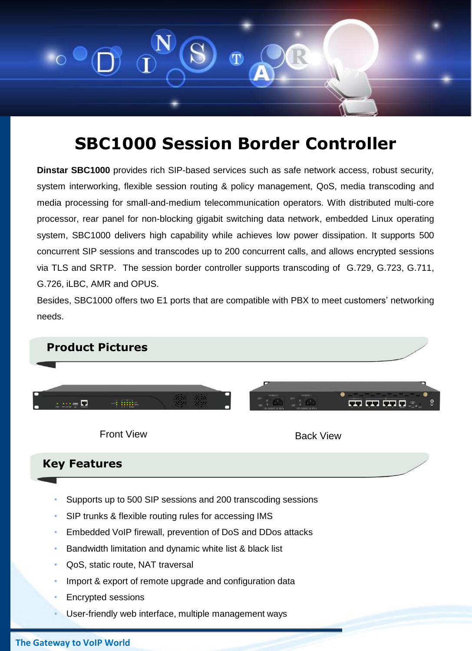

## **SBC1000 Session Border Controller**

**Dinstar SBC1000** provides rich SIP-based services such as safe network access, robust security, system interworking, flexible session routing & policy management, QoS, media transcoding and media processing for small-and-medium telecommunication operators. With distributed multi-core processor, rear panel for non-blocking gigabit switching data network, embedded Linux operating system, SBC1000 delivers high capability while achieves low power dissipation. It supports 500 concurrent SIP sessions and transcodes up to 200 concurrent calls, and allows encrypted sessions via TLS and SRTP. The session border controller supports transcoding of G.729, G.723, G.711, G.726, iLBC, AMR and OPUS.

Besides, SBC1000 offers two E1 ports that are compatible with PBX to meet customers' networking needs.

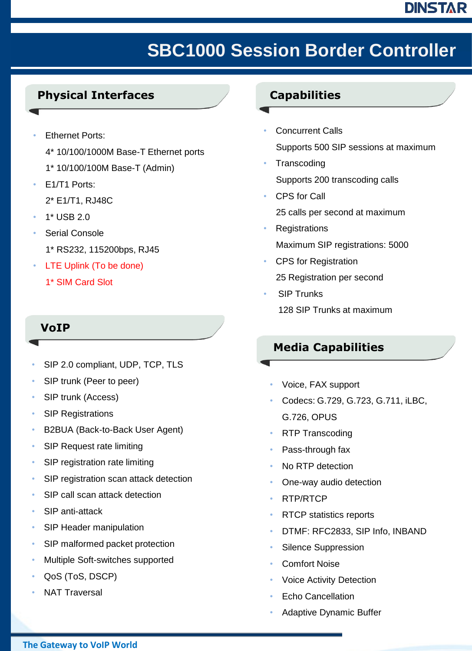## DINSTAR

# **SBC1000 Session Border Controller**

### **Physical Interfaces**

- **Ethernet Ports:** 
	- 4\* 10/100/1000M Base-T Ethernet ports
	- 1\* 10/100/100M Base-T (Admin)
- E1/T1 Ports:
	- 2\* E1/T1, RJ48C
- 1\* USB 2.0
- Serial Console 1\* RS232, 115200bps, RJ45
- LTE Uplink (To be done)
	- 1\* SIM Card Slot

### **VoIP**

- SIP 2.0 compliant, UDP, TCP, TLS
- SIP trunk (Peer to peer)
- SIP trunk (Access)
- **SIP Registrations**
- B2BUA (Back-to-Back User Agent)
- SIP Request rate limiting
- SIP registration rate limiting
- SIP registration scan attack detection
- SIP call scan attack detection
- SIP anti-attack
- SIP Header manipulation
- SIP malformed packet protection
- Multiple Soft-switches supported
- QoS (ToS, DSCP)
- **NAT Traversal**

### **Capabilities**

- **Concurrent Calls** Supports 500 SIP sessions at maximum
- **Transcoding** Supports 200 transcoding calls
- CPS for Call 25 calls per second at maximum
- **Registrations** Maximum SIP registrations: 5000
- CPS for Registration 25 Registration per second
- **SIP Trunks** 128 SIP Trunks at maximum

### **Media Capabilities**

- Voice, FAX support
- Codecs: G.729, G.723, G.711, iLBC, G.726, OPUS
- RTP Transcoding
- Pass-through fax
- No RTP detection
- One-way audio detection
- RTP/RTCP
- RTCP statistics reports
- DTMF: RFC2833, SIP Info, INBAND
- Silence Suppression
- Comfort Noise
- Voice Activity Detection
- **Echo Cancellation**
- Adaptive Dynamic Buffer